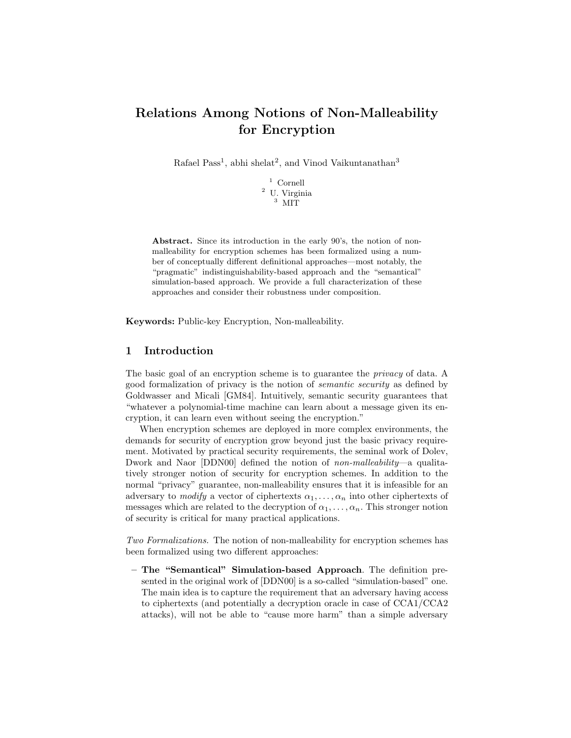# Relations Among Notions of Non-Malleability for Encryption

Rafael Pass<sup>1</sup>, abhi shelat<sup>2</sup>, and Vinod Vaikuntanathan<sup>3</sup>

 $^{\rm 1}$  Cornell <sup>2</sup> U. Virginia <sup>3</sup> MIT

Abstract. Since its introduction in the early 90's, the notion of nonmalleability for encryption schemes has been formalized using a number of conceptually different definitional approaches—most notably, the "pragmatic" indistinguishability-based approach and the "semantical" simulation-based approach. We provide a full characterization of these approaches and consider their robustness under composition.

Keywords: Public-key Encryption, Non-malleability.

## 1 Introduction

The basic goal of an encryption scheme is to guarantee the *privacy* of data. A good formalization of privacy is the notion of semantic security as defined by Goldwasser and Micali [GM84]. Intuitively, semantic security guarantees that "whatever a polynomial-time machine can learn about a message given its encryption, it can learn even without seeing the encryption."

When encryption schemes are deployed in more complex environments, the demands for security of encryption grow beyond just the basic privacy requirement. Motivated by practical security requirements, the seminal work of Dolev, Dwork and Naor [DDN00] defined the notion of non-malleability—a qualitatively stronger notion of security for encryption schemes. In addition to the normal "privacy" guarantee, non-malleability ensures that it is infeasible for an adversary to modify a vector of ciphertexts  $\alpha_1, \ldots, \alpha_n$  into other ciphertexts of messages which are related to the decryption of  $\alpha_1, \ldots, \alpha_n$ . This stronger notion of security is critical for many practical applications.

Two Formalizations. The notion of non-malleability for encryption schemes has been formalized using two different approaches:

– The "Semantical" Simulation-based Approach. The definition presented in the original work of [DDN00] is a so-called "simulation-based" one. The main idea is to capture the requirement that an adversary having access to ciphertexts (and potentially a decryption oracle in case of CCA1/CCA2 attacks), will not be able to "cause more harm" than a simple adversary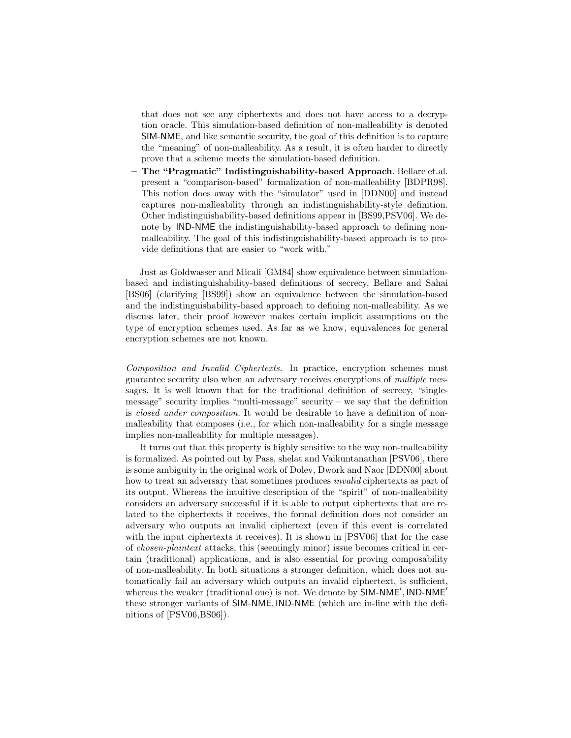that does not see any ciphertexts and does not have access to a decryption oracle. This simulation-based definition of non-malleability is denoted SIM-NME, and like semantic security, the goal of this definition is to capture the "meaning" of non-malleability. As a result, it is often harder to directly prove that a scheme meets the simulation-based definition.

– The "Pragmatic" Indistinguishability-based Approach. Bellare et.al. present a "comparison-based" formalization of non-malleability [BDPR98]. This notion does away with the "simulator" used in [DDN00] and instead captures non-malleability through an indistinguishability-style definition. Other indistinguishability-based definitions appear in [BS99,PSV06]. We denote by IND-NME the indistinguishability-based approach to defining nonmalleability. The goal of this indistinguishability-based approach is to provide definitions that are easier to "work with."

Just as Goldwasser and Micali [GM84] show equivalence between simulationbased and indistinguishability-based definitions of secrecy, Bellare and Sahai [BS06] (clarifying [BS99]) show an equivalence between the simulation-based and the indistinguishability-based approach to defining non-malleability. As we discuss later, their proof however makes certain implicit assumptions on the type of encryption schemes used. As far as we know, equivalences for general encryption schemes are not known.

Composition and Invalid Ciphertexts. In practice, encryption schemes must guarantee security also when an adversary receives encryptions of multiple messages. It is well known that for the traditional definition of secrecy, "singlemessage" security implies "multi-message" security – we say that the definition is closed under composition. It would be desirable to have a definition of nonmalleability that composes (i.e., for which non-malleability for a single message implies non-malleability for multiple messages).

It turns out that this property is highly sensitive to the way non-malleability is formalized. As pointed out by Pass, shelat and Vaikuntanathan [PSV06], there is some ambiguity in the original work of Dolev, Dwork and Naor [DDN00] about how to treat an adversary that sometimes produces *invalid* ciphertexts as part of its output. Whereas the intuitive description of the "spirit" of non-malleability considers an adversary successful if it is able to output ciphertexts that are related to the ciphertexts it receives, the formal definition does not consider an adversary who outputs an invalid ciphertext (even if this event is correlated with the input ciphertexts it receives). It is shown in [PSV06] that for the case of chosen-plaintext attacks, this (seemingly minor) issue becomes critical in certain (traditional) applications, and is also essential for proving composability of non-malleability. In both situations a stronger definition, which does not automatically fail an adversary which outputs an invalid ciphertext, is sufficient, whereas the weaker (traditional one) is not. We denote by SIM-NME', IND-NME' these stronger variants of SIM-NME, IND-NME (which are in-line with the definitions of [PSV06,BS06]).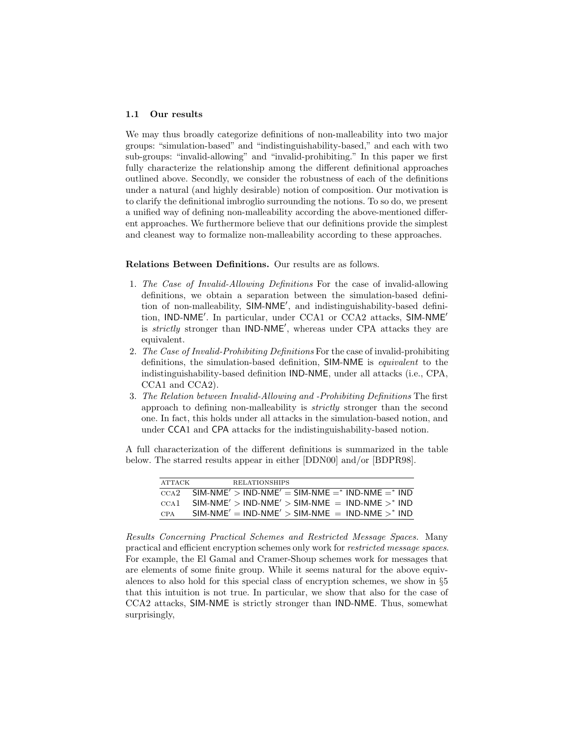### 1.1 Our results

We may thus broadly categorize definitions of non-malleability into two major groups: "simulation-based" and "indistinguishability-based," and each with two sub-groups: "invalid-allowing" and "invalid-prohibiting." In this paper we first fully characterize the relationship among the different definitional approaches outlined above. Secondly, we consider the robustness of each of the definitions under a natural (and highly desirable) notion of composition. Our motivation is to clarify the definitional imbroglio surrounding the notions. To so do, we present a unified way of defining non-malleability according the above-mentioned different approaches. We furthermore believe that our definitions provide the simplest and cleanest way to formalize non-malleability according to these approaches.

Relations Between Definitions. Our results are as follows.

- 1. The Case of Invalid-Allowing Definitions For the case of invalid-allowing definitions, we obtain a separation between the simulation-based definition of non-malleability, SIM-NME', and indistinguishability-based definition, IND-NME'. In particular, under CCA1 or CCA2 attacks, SIM-NME' is *strictly* stronger than IND-NME', whereas under CPA attacks they are equivalent.
- 2. The Case of Invalid-Prohibiting Definitions For the case of invalid-prohibiting definitions, the simulation-based definition, SIM-NME is equivalent to the indistinguishability-based definition IND-NME, under all attacks (i.e., CPA, CCA1 and CCA2).
- 3. The Relation between Invalid-Allowing and -Prohibiting Definitions The first approach to defining non-malleability is strictly stronger than the second one. In fact, this holds under all attacks in the simulation-based notion, and under CCA1 and CPA attacks for the indistinguishability-based notion.

A full characterization of the different definitions is summarized in the table below. The starred results appear in either [DDN00] and/or [BDPR98].

| ATTACK           | <b>RELATIONSHIPS</b>                                                                 |
|------------------|--------------------------------------------------------------------------------------|
| $_{\rm CCA2}$    | $SIM\text{-}NME'$ > IND-NME' = SIM-NME = $*$ IND-NME = $*$ IND                       |
| CCA <sub>1</sub> | $SIM\text{-}NME'$ > $IND\text{-}NME'$ > $SIM\text{-}NME$ = $IND\text{-}NME$ >* $IND$ |
| <b>CPA</b>       | $SIM\text{-}NME' = IND\text{-}NME' > SIM\text{-}NME = IND\text{-}NME >^* IND$        |

Results Concerning Practical Schemes and Restricted Message Spaces. Many practical and efficient encryption schemes only work for restricted message spaces. For example, the El Gamal and Cramer-Shoup schemes work for messages that are elements of some finite group. While it seems natural for the above equivalences to also hold for this special class of encryption schemes, we show in §5 that this intuition is not true. In particular, we show that also for the case of CCA2 attacks, SIM-NME is strictly stronger than IND-NME. Thus, somewhat surprisingly,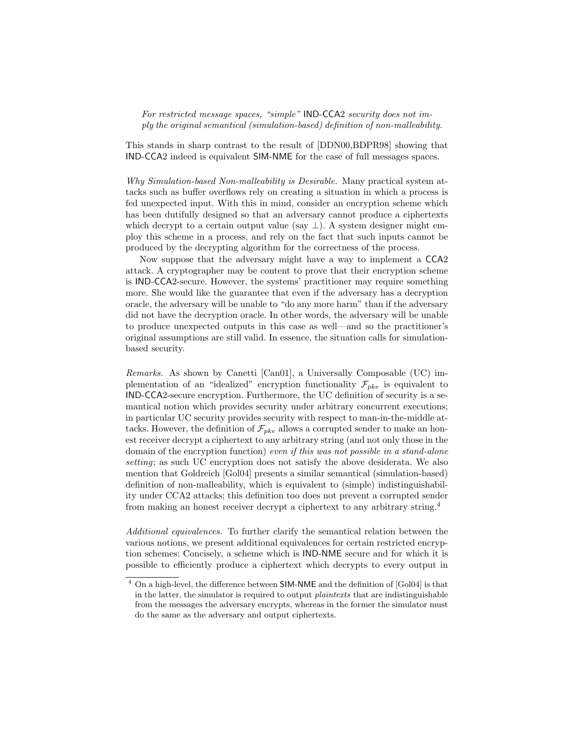For restricted message spaces, "simple" IND-CCA2 security does not imply the original semantical (simulation-based) definition of non-malleability.

This stands in sharp contrast to the result of [DDN00,BDPR98] showing that IND-CCA2 indeed is equivalent SIM-NME for the case of full messages spaces.

Why Simulation-based Non-malleability is Desirable. Many practical system attacks such as buffer overflows rely on creating a situation in which a process is fed unexpected input. With this in mind, consider an encryption scheme which has been dutifully designed so that an adversary cannot produce a ciphertexts which decrypt to a certain output value (say  $\perp$ ). A system designer might employ this scheme in a process, and rely on the fact that such inputs cannot be produced by the decrypting algorithm for the correctness of the process.

Now suppose that the adversary might have a way to implement a CCA2 attack. A cryptographer may be content to prove that their encryption scheme is IND-CCA2-secure. However, the systems' practitioner may require something more. She would like the guarantee that even if the adversary has a decryption oracle, the adversary will be unable to "do any more harm" than if the adversary did not have the decryption oracle. In other words, the adversary will be unable to produce unexpected outputs in this case as well—and so the practitioner's original assumptions are still valid. In essence, the situation calls for simulationbased security.

Remarks. As shown by Canetti [Can01], a Universally Composable (UC) implementation of an "idealized" encryption functionality  $\mathcal{F}_{pke}$  is equivalent to IND-CCA2-secure encryption. Furthermore, the UC definition of security is a semantical notion which provides security under arbitrary concurrent executions; in particular UC security provides security with respect to man-in-the-middle attacks. However, the definition of  $\mathcal{F}_{pke}$  allows a corrupted sender to make an honest receiver decrypt a ciphertext to any arbitrary string (and not only those in the domain of the encryption function) even if this was not possible in a stand-alone setting; as such UC encryption does not satisfy the above desiderata. We also mention that Goldreich [Gol04] presents a similar semantical (simulation-based) definition of non-malleability, which is equivalent to (simple) indistinguishability under CCA2 attacks; this definition too does not prevent a corrupted sender from making an honest receiver decrypt a ciphertext to any arbitrary string.<sup>4</sup>

Additional equivalences. To further clarify the semantical relation between the various notions, we present additional equivalences for certain restricted encryption schemes: Concisely, a scheme which is IND-NME secure and for which it is possible to efficiently produce a ciphertext which decrypts to every output in

<sup>4</sup> On a high-level, the difference between SIM-NME and the definition of [Gol04] is that in the latter, the simulator is required to output *plaintexts* that are indistinguishable from the messages the adversary encrypts, whereas in the former the simulator must do the same as the adversary and output ciphertexts.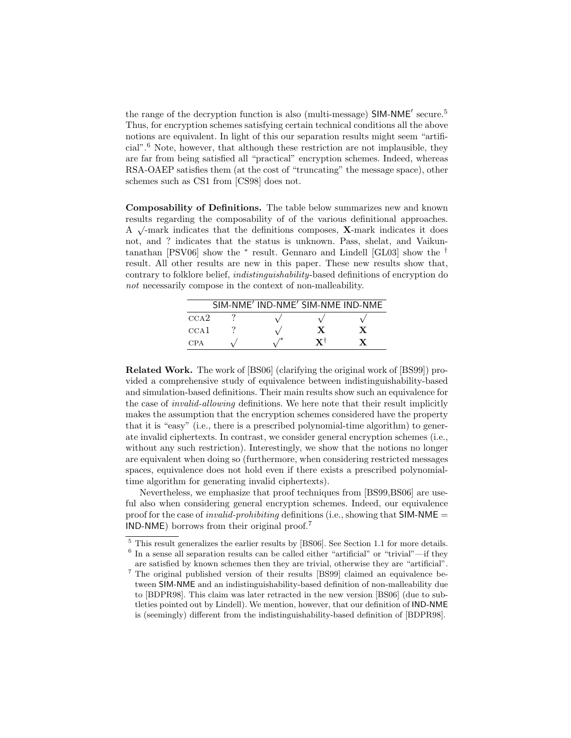the range of the decryption function is also (multi-message) SIM-NME' secure.<sup>5</sup> Thus, for encryption schemes satisfying certain technical conditions all the above notions are equivalent. In light of this our separation results might seem "artificial".<sup>6</sup> Note, however, that although these restriction are not implausible, they are far from being satisfied all "practical" encryption schemes. Indeed, whereas RSA-OAEP satisfies them (at the cost of "truncating" the message space), other schemes such as CS1 from [CS98] does not.

Composability of Definitions. The table below summarizes new and known results regarding the composability of of the various definitional approaches. √ A  $\sqrt{\ }$ -mark indicates that the definitions composes, **X**-mark indicates it does not, and ? indicates that the status is unknown. Pass, shelat, and Vaikuntanathan [PSV06] show the <sup>∗</sup> result. Gennaro and Lindell [GL03] show the † result. All other results are new in this paper. These new results show that, contrary to folklore belief, indistinguishability-based definitions of encryption do not necessarily compose in the context of non-malleability.

|                  | SIM-NME' IND-NME' SIM-NME IND-NME |    |  |
|------------------|-----------------------------------|----|--|
| $_{\rm CCA2}$    |                                   |    |  |
| CCA <sub>1</sub> |                                   |    |  |
| <b>CPA</b>       |                                   | V٦ |  |

Related Work. The work of [BS06] (clarifying the original work of [BS99]) provided a comprehensive study of equivalence between indistinguishability-based and simulation-based definitions. Their main results show such an equivalence for the case of invalid-allowing definitions. We here note that their result implicitly makes the assumption that the encryption schemes considered have the property that it is "easy" (i.e., there is a prescribed polynomial-time algorithm) to generate invalid ciphertexts. In contrast, we consider general encryption schemes (i.e., without any such restriction). Interestingly, we show that the notions no longer are equivalent when doing so (furthermore, when considering restricted messages spaces, equivalence does not hold even if there exists a prescribed polynomialtime algorithm for generating invalid ciphertexts).

Nevertheless, we emphasize that proof techniques from [BS99,BS06] are useful also when considering general encryption schemes. Indeed, our equivalence proof for the case of *invalid-prohibiting* definitions (i.e., showing that  $SIM-NME =$ IND-NME) borrows from their original proof.<sup>7</sup>

<sup>5</sup> This result generalizes the earlier results by [BS06]. See Section 1.1 for more details. 6 In a sense all separation results can be called either "artificial" or "trivial"—if they

are satisfied by known schemes then they are trivial, otherwise they are "artificial". <sup>7</sup> The original published version of their results [BS99] claimed an equivalence between SIM-NME and an indistinguishability-based definition of non-malleability due to [BDPR98]. This claim was later retracted in the new version [BS06] (due to subtleties pointed out by Lindell). We mention, however, that our definition of IND-NME is (seemingly) different from the indistinguishability-based definition of [BDPR98].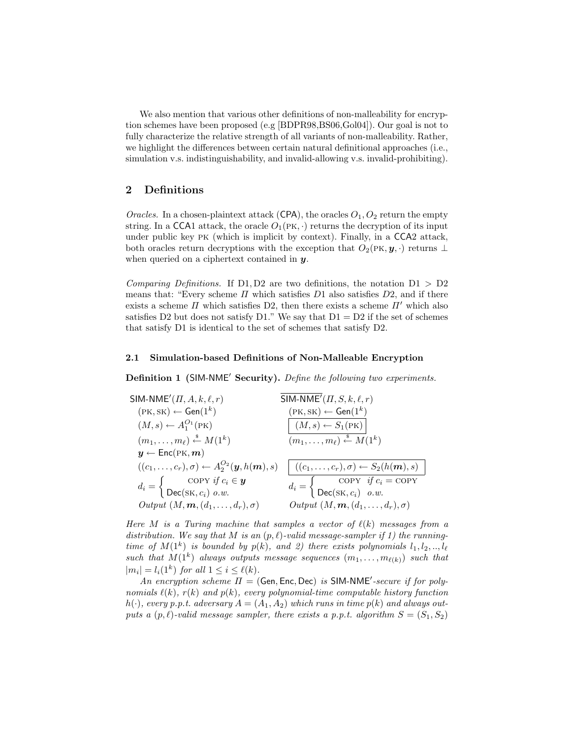We also mention that various other definitions of non-malleability for encryption schemes have been proposed (e.g [BDPR98,BS06,Gol04]). Our goal is not to fully characterize the relative strength of all variants of non-malleability. Rather, we highlight the differences between certain natural definitional approaches (i.e., simulation v.s. indistinguishability, and invalid-allowing v.s. invalid-prohibiting).

## 2 Definitions

Oracles. In a chosen-plaintext attack (CPA), the oracles  $O_1$ ,  $O_2$  return the empty string. In a CCA1 attack, the oracle  $O_1(PK, \cdot)$  returns the decryption of its input under public key pk (which is implicit by context). Finally, in a CCA2 attack, both oracles return decryptions with the exception that  $O_2(PK, y, \cdot)$  returns ⊥ when queried on a ciphertext contained in  $y$ .

Comparing Definitions. If D1, D2 are two definitions, the notation  $D1 > D2$ means that: "Every scheme  $\Pi$  which satisfies  $D1$  also satisfies  $D2$ , and if there exists a scheme  $\Pi$  which satisfies D2, then there exists a scheme  $\Pi'$  which also satisfies D2 but does not satisfy D1." We say that  $D1 = D2$  if the set of schemes that satisfy D1 is identical to the set of schemes that satisfy D2.

### 2.1 Simulation-based Definitions of Non-Malleable Encryption

Definition 1 (SIM-NME' Security). Define the following two experiments.

| SIM-NME' $(\Pi, A, k, \ell, r)$                                                                             | SIM-NME' $(\Pi, S, k, \ell, r)$                                                                                                               |
|-------------------------------------------------------------------------------------------------------------|-----------------------------------------------------------------------------------------------------------------------------------------------|
| $(\textsc{pk},\textsc{sk}) \leftarrow \mathsf{Gen}(1^k)$                                                    | $(PK, SK) \leftarrow \mathsf{Gen}(1^k)$                                                                                                       |
| $(M, s) \leftarrow A_1^{O_1}(\text{PK})$                                                                    | $ (M, s) \leftarrow S_1(\text{PK}) $                                                                                                          |
| $(m_1,\ldots,m_\ell)\stackrel{\hspace{0.1em}\mathsf{\scriptscriptstyle\$}}{\leftarrow} M(1^k)$              | $(m_1,\ldots,m_\ell)\stackrel{\hspace{0.1em}\mathsf{\scriptscriptstyle\$}}{\leftarrow} M(1^k)$                                                |
| $y \leftarrow$ Enc(PK, m)                                                                                   |                                                                                                                                               |
|                                                                                                             | $((c_1, , c_r), \sigma) \leftarrow A_2^{O_2}(\mathbf{y}, h(\mathbf{m}), s) \mid ((c_1, , c_r), \sigma) \leftarrow S_2(h(\mathbf{m}), s) \mid$ |
| $d_i = \begin{cases} \text{copy } if \ c_i \in \mathbf{y} \\ \text{Dec}(\text{SK}, c_i) \ o.w. \end{cases}$ | $d_i = \begin{cases} \text{COPY} & \text{if } c_i = \text{COPY} \\ \text{Dec}(\text{SK}, c_i) & \text{o.w.} \end{cases}$                      |
| Output $(M, \mathbf{m}, (d_1, \ldots, d_r), \sigma)$                                                        | Output $(M, \mathbf{m}, (d_1, \ldots, d_r), \sigma)$                                                                                          |

Here M is a Turing machine that samples a vector of  $\ell(k)$  messages from a distribution. We say that M is an  $(p, \ell)$ -valid message-sampler if 1) the runningtime of  $M(1^k)$  is bounded by  $p(k)$ , and 2) there exists polynomials  $l_1, l_2, ..., l_\ell$ such that  $M(1^k)$  always outputs message sequences  $(m_1, \ldots, m_{\ell(k)})$  such that  $|m_i| = l_i(1^k)$  for all  $1 \leq i \leq \ell(k)$ .

An encryption scheme  $\Pi = (Gen, Enc, Dec)$  is SIM-NME'-secure if for polynomials  $\ell(k)$ ,  $r(k)$  and  $p(k)$ , every polynomial-time computable history function  $h(\cdot)$ , every p.p.t. adversary  $A = (A_1, A_2)$  which runs in time  $p(k)$  and always outputs a  $(p, \ell)$ -valid message sampler, there exists a p.p.t. algorithm  $S = (S_1, S_2)$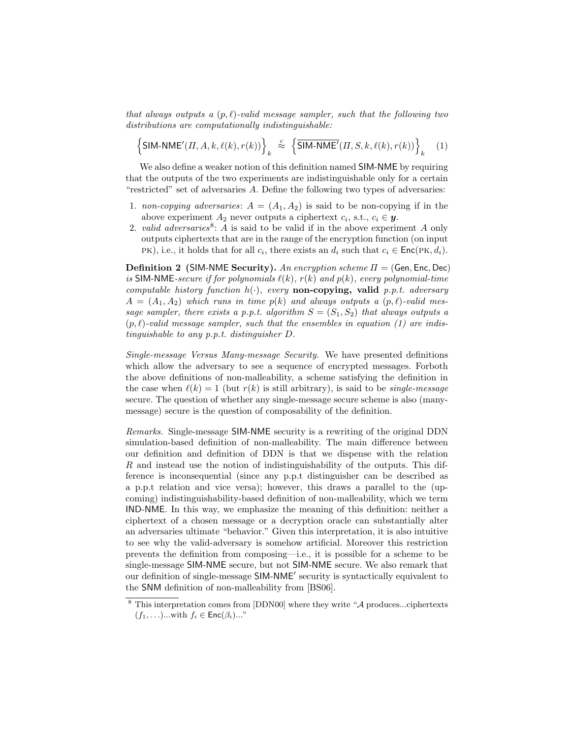that always outputs a  $(p, \ell)$ -valid message sampler, such that the following two distributions are computationally indistinguishable:

$$
\left\{ \mathsf{SIM\text{-}NME}'(\Pi, A, k, \ell(k), r(k)) \right\}_k \stackrel{c}{\approx} \left\{ \overline{\mathsf{SIM\text{-}NME}'}(\Pi, S, k, \ell(k), r(k)) \right\}_k \tag{1}
$$

We also define a weaker notion of this definition named SIM-NME by requiring that the outputs of the two experiments are indistinguishable only for a certain "restricted" set of adversaries A. Define the following two types of adversaries:

- 1. non-copying adversaries:  $A = (A_1, A_2)$  is said to be non-copying if in the above experiment  $A_2$  never outputs a ciphertext  $c_i$ , s.t.,  $c_i \in \mathbf{y}$ .
- 2. valid adversaries<sup>8</sup>: A is said to be valid if in the above experiment A only outputs ciphertexts that are in the range of the encryption function (on input PK), i.e., it holds that for all  $c_i$ , there exists an  $d_i$  such that  $c_i \in \text{Enc}(\text{PK}, d_i)$ .

**Definition 2** (SIM-NME Security). An encryption scheme  $\Pi = (Gen, Enc, Dec)$ is SIM-NME-secure if for polynomials  $\ell(k)$ ,  $r(k)$  and  $p(k)$ , every polynomial-time computable history function  $h(\cdot)$ , every **non-copying, valid** p.p.t. adversary  $A = (A_1, A_2)$  which runs in time  $p(k)$  and always outputs a  $(p, \ell)$ -valid message sampler, there exists a p.p.t. algorithm  $S = (S_1, S_2)$  that always outputs a  $(p, l)$ -valid message sampler, such that the ensembles in equation (1) are indistinguishable to any p.p.t. distinguisher D.

Single-message Versus Many-message Security. We have presented definitions which allow the adversary to see a sequence of encrypted messages. Forboth the above definitions of non-malleability, a scheme satisfying the definition in the case when  $\ell(k) = 1$  (but  $r(k)$  is still arbitrary), is said to be *single-message* secure. The question of whether any single-message secure scheme is also (manymessage) secure is the question of composability of the definition.

Remarks. Single-message SIM-NME security is a rewriting of the original DDN simulation-based definition of non-malleability. The main difference between our definition and definition of DDN is that we dispense with the relation R and instead use the notion of indistinguishability of the outputs. This difference is inconsequential (since any p.p.t distinguisher can be described as a p.p.t relation and vice versa); however, this draws a parallel to the (upcoming) indistinguishability-based definition of non-malleability, which we term IND-NME. In this way, we emphasize the meaning of this definition: neither a ciphertext of a chosen message or a decryption oracle can substantially alter an adversaries ultimate "behavior." Given this interpretation, it is also intuitive to see why the valid-adversary is somehow artificial. Moreover this restriction prevents the definition from composing—i.e., it is possible for a scheme to be single-message SIM-NME secure, but not SIM-NME secure. We also remark that our definition of single-message SIM-NME' security is syntactically equivalent to the SNM definition of non-malleability from [BS06].

 $8$  This interpretation comes from [DDN00] where they write " $\mathcal A$  produces...ciphertexts  $(f_1, \ldots)$ ...with  $f_i \in \text{Enc}(\beta_i)$ ..."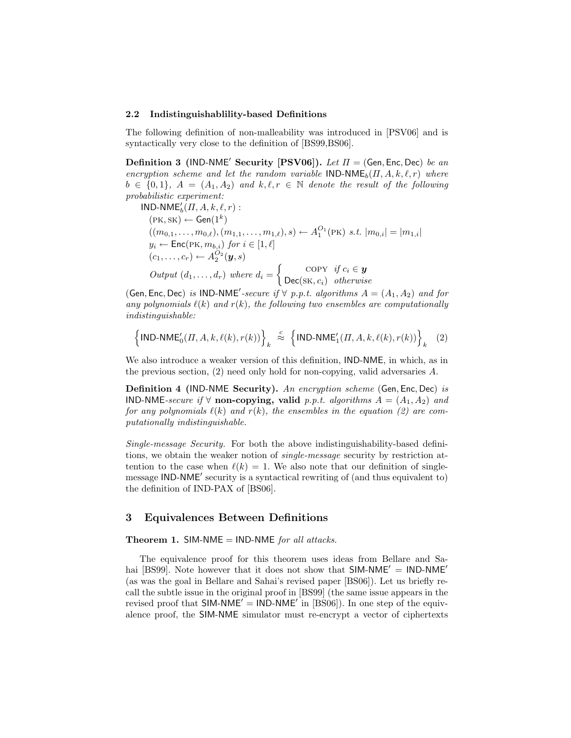### 2.2 Indistinguishablility-based Definitions

The following definition of non-malleability was introduced in [PSV06] and is syntactically very close to the definition of [BS99,BS06].

**Definition 3 (IND-NME' Security [PSV06]).** Let  $\Pi = (Gen, Enc, Dec)$  be an encryption scheme and let the random variable  $IND-NME_b(\Pi, A, k, \ell, r)$  where  $b \in \{0,1\}, A = (A_1, A_2)$  and  $k, \ell, r \in \mathbb{N}$  denote the result of the following probabilistic experiment:

 $\mathsf{IND}\text{-}\mathsf{NME}_b'(\Pi, A, k, \ell, r)$ :  $(PK, SK) \leftarrow Gen(1^k)$  $((m_{0,1}, \ldots, m_{0,\ell}), (m_{1,1}, \ldots, m_{1,\ell}), s) \leftarrow A_1^{O_1}(\text{PK}) \ s.t. \ |m_{0,i}| = |m_{1,i}|$  $y_i \leftarrow \mathsf{Enc}(\mathsf{PK}, m_{b,i})$  for  $i \in [1, \ell]$  $(c_1, \ldots, c_r) \leftarrow A_2^{O_2}(\mathbf{y}, s)$ Output  $(d_1, \ldots, d_r)$  where  $d_i = \begin{cases} \text{COPY} & \text{if } c_i \in \mathbf{y} \\ \text{Dose}(cV, c_i) & \text{otherwise} \end{cases}$  $Dec(sK, c_i)$  otherwise

(Gen, Enc, Dec) is IND-NME'-secure if  $\forall$  p.p.t. algorithms  $A = (A_1, A_2)$  and for any polynomials  $\ell(k)$  and  $r(k)$ , the following two ensembles are computationally indistinguishable:

$$
\left\{\text{IND-NME}_0'( \varPi, A, k, \ell(k), r(k))\right\}_k \stackrel{c}{\approx} \left\{\text{IND-NME}_1'(\varPi, A, k, \ell(k), r(k))\right\}_k \quad (2)
$$

We also introduce a weaker version of this definition, IND-NME, in which, as in the previous section,  $(2)$  need only hold for non-copying, valid adversaries A.

Definition 4 (IND-NME Security). An encryption scheme (Gen, Enc, Dec) is IND-NME-secure if  $\forall$  non-copying, valid p.p.t. algorithms  $A = (A_1, A_2)$  and for any polynomials  $\ell(k)$  and  $r(k)$ , the ensembles in the equation (2) are computationally indistinguishable.

Single-message Security. For both the above indistinguishability-based definitions, we obtain the weaker notion of single-message security by restriction attention to the case when  $\ell(k) = 1$ . We also note that our definition of singlemessage IND-NME' security is a syntactical rewriting of (and thus equivalent to) the definition of IND-PAX of [BS06].

## 3 Equivalences Between Definitions

### Theorem 1. SIM-NME = IND-NME for all attacks.

The equivalence proof for this theorem uses ideas from Bellare and Sahai [BS99]. Note however that it does not show that  $SIM\text{-}NME' = IND\text{-}NME'$ (as was the goal in Bellare and Sahai's revised paper [BS06]). Let us briefly recall the subtle issue in the original proof in [BS99] (the same issue appears in the revised proof that  $SIM\text{-}NME' = IND\text{-}NME'$  in [BS06]). In one step of the equivalence proof, the SIM-NME simulator must re-encrypt a vector of ciphertexts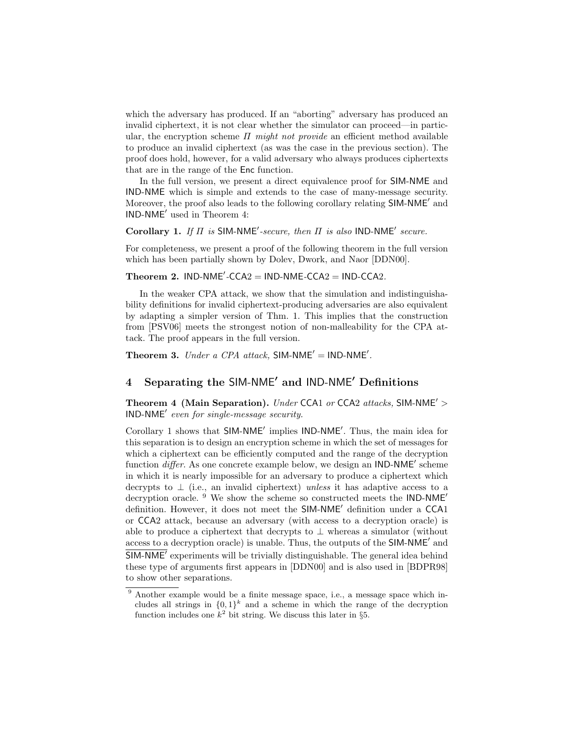which the adversary has produced. If an "aborting" adversary has produced an invalid ciphertext, it is not clear whether the simulator can proceed—in particular, the encryption scheme  $\Pi$  might not provide an efficient method available to produce an invalid ciphertext (as was the case in the previous section). The proof does hold, however, for a valid adversary who always produces ciphertexts that are in the range of the Enc function.

In the full version, we present a direct equivalence proof for SIM-NME and IND-NME which is simple and extends to the case of many-message security. Moreover, the proof also leads to the following corollary relating SIM-NME' and IND-NME<sup>'</sup> used in Theorem 4:

Corollary 1. If  $\Pi$  is SIM-NME<sup>'</sup>-secure, then  $\Pi$  is also IND-NME<sup>'</sup> secure.

For completeness, we present a proof of the following theorem in the full version which has been partially shown by Dolev, Dwork, and Naor [DDN00].

## Theorem 2.  $IND-NME' - CCA2 = IND- NME-CCA2 = IND-CCA2$ .

In the weaker CPA attack, we show that the simulation and indistinguishability definitions for invalid ciphertext-producing adversaries are also equivalent by adapting a simpler version of Thm. 1. This implies that the construction from [PSV06] meets the strongest notion of non-malleability for the CPA attack. The proof appears in the full version.

Theorem 3. Under a CPA attack, SIM-NME' =  $IND-NME'$ .

## 4 Separating the SIM-NME' and IND-NME' Definitions

Theorem 4 (Main Separation). Under CCA1 or CCA2 attacks, SIM-NME'  $>$  $IND-NME'$  even for single-message security.

Corollary 1 shows that SIM-NME' implies IND-NME'. Thus, the main idea for this separation is to design an encryption scheme in which the set of messages for which a ciphertext can be efficiently computed and the range of the decryption function  $differ$ . As one concrete example below, we design an IND-NME' scheme in which it is nearly impossible for an adversary to produce a ciphertext which decrypts to  $\perp$  (i.e., an invalid ciphertext) unless it has adaptive access to a decryption oracle. <sup>9</sup> We show the scheme so constructed meets the IND-NME<sup>'</sup> definition. However, it does not meet the SIM-NME' definition under a CCA1 or CCA2 attack, because an adversary (with access to a decryption oracle) is able to produce a ciphertext that decrypts to  $\perp$  whereas a simulator (without access to a decryption oracle) is unable. Thus, the outputs of the  $SIM-NME'$  and  $\overline{\mathsf{SIM}\text{-}\mathsf{NME}'}$  experiments will be trivially distinguishable. The general idea behind these type of arguments first appears in [DDN00] and is also used in [BDPR98] to show other separations.

<sup>&</sup>lt;sup>9</sup> Another example would be a finite message space, i.e., a message space which includes all strings in  ${0,1}^k$  and a scheme in which the range of the decryption function includes one  $k^2$  bit string. We discuss this later in §5.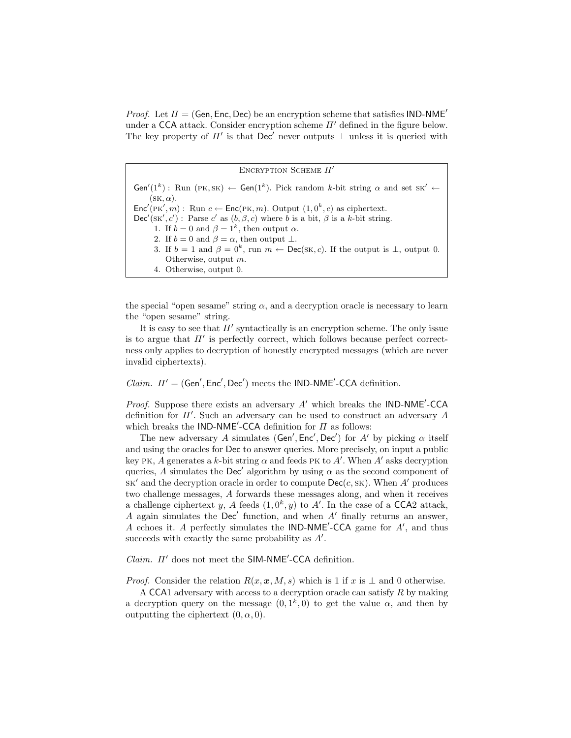*Proof.* Let  $\Pi = (Gen, Enc, Dec)$  be an encryption scheme that satisfies IND-NME<sup> $\prime$ </sup> under a CCA attack. Consider encryption scheme  $\Pi'$  defined in the figure below. The key property of  $\Pi'$  is that Dec' never outputs  $\perp$  unless it is queried with

ENCRYPTION SCHEME  $\Pi'$  $Gen'(1^k) :$  Run (PK, SK)  $\leftarrow$  Gen(1<sup>k</sup>). Pick random k-bit string  $\alpha$  and set SK'  $\leftarrow$  $(SK, \alpha)$ .  $\mathsf{Enc}'(\mathsf{PK}', m)$ : Run  $c \leftarrow \mathsf{Enc}(\mathsf{PK}, m)$ . Output  $(1, 0^k, c)$  as ciphertext.  $\textsf{Dec}'(\textsf{sk}', c')$ : Parse c' as  $(b, \beta, c)$  where b is a bit,  $\beta$  is a k-bit string. 1. If  $b = 0$  and  $\beta = 1^k$ , then output  $\alpha$ . 2. If  $b = 0$  and  $\beta = \alpha$ , then output  $\bot$ . 3. If  $b = 1$  and  $\beta = 0^k$ , run  $m \leftarrow \text{Dec}(\text{SK}, c)$ . If the output is  $\perp$ , output 0. Otherwise, output m. 4. Otherwise, output 0.

the special "open sesame" string  $\alpha$ , and a decryption oracle is necessary to learn the "open sesame" string.

It is easy to see that  $\Pi'$  syntactically is an encryption scheme. The only issue is to argue that  $\Pi'$  is perfectly correct, which follows because perfect correctness only applies to decryption of honestly encrypted messages (which are never invalid ciphertexts).

*Claim.*  $\Pi' = (Gen', Enc', Dec')$  meets the IND-NME'-CCA definition.

*Proof.* Suppose there exists an adversary  $A'$  which breaks the IND-NME<sup> $\prime$ </sup>-CCA definition for  $\Pi'$ . Such an adversary can be used to construct an adversary  $A$ which breaks the IND-NME<sup>'</sup>-CCA definition for  $\Pi$  as follows:

The new adversary A simulates (Gen', Enc', Dec') for A' by picking  $\alpha$  itself and using the oracles for Dec to answer queries. More precisely, on input a public key PK, A generates a k-bit string  $\alpha$  and feeds PK to A'. When A' asks decryption queries, A simulates the Dec' algorithm by using  $\alpha$  as the second component of  $SK'$  and the decryption oracle in order to compute  $Dec(c, SK)$ . When A' produces two challenge messages, A forwards these messages along, and when it receives a challenge ciphertext y, A feeds  $(1, 0^k, y)$  to A'. In the case of a CCA2 attack, A again simulates the Dec' function, and when  $A'$  finally returns an answer, A echoes it. A perfectly simulates the  $IND-NME'$ -CCA game for  $A'$ , and thus succeeds with exactly the same probability as  $A'$ .

 $Claim.$   $\Pi'$  does not meet the SIM-NME<sup>'</sup>-CCA definition.

*Proof.* Consider the relation  $R(x, x, M, s)$  which is 1 if x is  $\perp$  and 0 otherwise.

A CCA1 adversary with access to a decryption oracle can satisfy R by making a decryption query on the message  $(0, 1^k, 0)$  to get the value  $\alpha$ , and then by outputting the ciphertext  $(0, \alpha, 0)$ .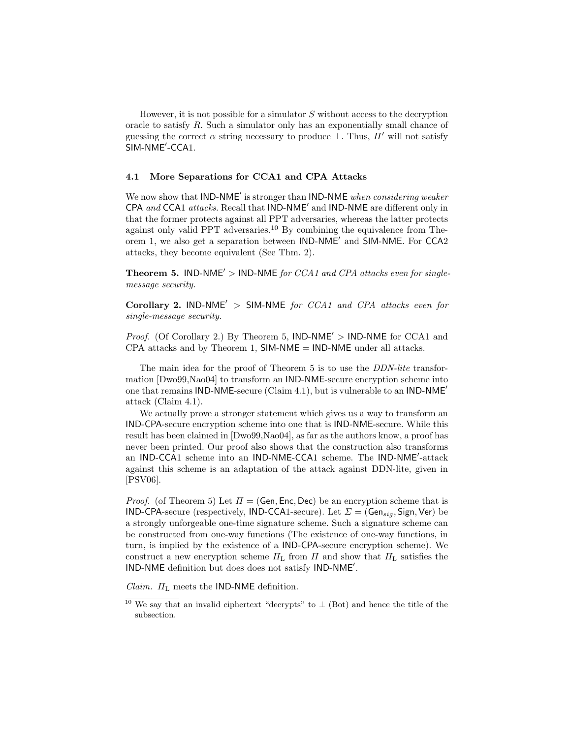However, it is not possible for a simulator  $S$  without access to the decryption oracle to satisfy  $R$ . Such a simulator only has an exponentially small chance of guessing the correct  $\alpha$  string necessary to produce  $\bot$ . Thus,  $\Pi'$  will not satisfy SIM-NME'-CCA1.

### 4.1 More Separations for CCA1 and CPA Attacks

We now show that IND-NME' is stronger than IND-NME when considering weaker CPA and CCA1 attacks. Recall that  $IND-NME'$  and  $IND-NME$  are different only in that the former protects against all PPT adversaries, whereas the latter protects against only valid PPT adversaries.<sup>10</sup> By combining the equivalence from Theorem 1, we also get a separation between  $IND-NME'$  and  $SIM-NME$ . For CCA2 attacks, they become equivalent (See Thm. 2).

**Theorem 5.** IND-NME<sup> $\prime$ </sup> > IND-NME for CCA1 and CPA attacks even for singlemessage security.

Corollary 2. IND-NME<sup> $\prime$ </sup> > SIM-NME for CCA1 and CPA attacks even for single-message security.

*Proof.* (Of Corollary 2.) By Theorem 5,  $IND-NME' > IND-NME$  for CCA1 and CPA attacks and by Theorem 1,  $SIM\text{-}NME = IND\text{-}NME$  under all attacks.

The main idea for the proof of Theorem 5 is to use the DDN-lite transformation [Dwo99,Nao04] to transform an IND-NME-secure encryption scheme into one that remains IND-NME-secure (Claim 4.1), but is vulnerable to an IND-NME<sup> $\prime$ </sup> attack (Claim 4.1).

We actually prove a stronger statement which gives us a way to transform an IND-CPA-secure encryption scheme into one that is IND-NME-secure. While this result has been claimed in [Dwo99,Nao04], as far as the authors know, a proof has never been printed. Our proof also shows that the construction also transforms an IND-CCA1 scheme into an IND-NME-CCA1 scheme. The IND-NME<sup>'</sup>-attack against this scheme is an adaptation of the attack against DDN-lite, given in [PSV06].

*Proof.* (of Theorem 5) Let  $\Pi = (Gen, Enc, Dec)$  be an encryption scheme that is IND-CPA-secure (respectively, IND-CCA1-secure). Let  $\Sigma = (Gen_{sig}, Sign, Ver)$  be a strongly unforgeable one-time signature scheme. Such a signature scheme can be constructed from one-way functions (The existence of one-way functions, in turn, is implied by the existence of a IND-CPA-secure encryption scheme). We construct a new encryption scheme  $\Pi_L$  from  $\Pi$  and show that  $\Pi_L$  satisfies the IND-NME definition but does does not satisfy IND-NME'.

*Claim.*  $\Pi_L$  meets the IND-NME definition.

<sup>&</sup>lt;sup>10</sup> We say that an invalid ciphertext "decrypts" to  $\perp$  (Bot) and hence the title of the subsection.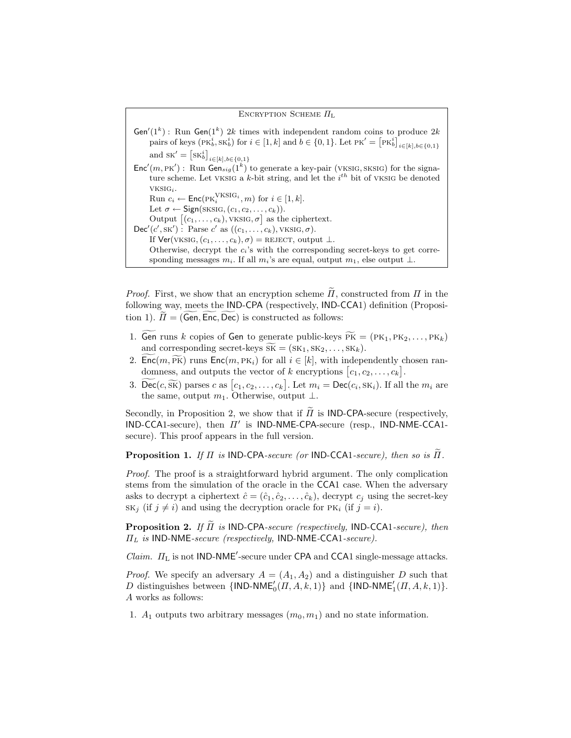ENCRYPTION SCHEME  $\Pi_L$  $Gen'(1^k)$ : Run  $Gen(1^k)$  2k times with independent random coins to produce 2k pairs of keys  $(\text{PK}_b^i, \text{SK}_b^i)$  for  $i \in [1, k]$  and  $b \in \{0, 1\}$ . Let  $\text{PK}' = [\text{PK}_b^i]_{i \in [k], b \in \{0, 1\}}$ and  $\mathrm{SK}' = [\mathrm{SK}_{b}^{i}]_{i \in [k], b \in \{0,1\}}$  $Enc'(m, PK')$ : Run  $Gen_{sig}(1^k)$  to generate a key-pair (VKSIG, SKSIG) for the signature scheme. Let VKSIG a  $k$ -bit string, and let the  $i^{th}$  bit of VKSIG be denoted vksigi. Run  $c_i \leftarrow \text{Enc}(\text{PK}_i^{\text{VKSIG}_i}, m)$  for  $i \in [1, k]$ . Let  $\sigma \leftarrow$  Sign(SKSIG,  $(c_1, c_2, \ldots, c_k)$ ). Output  $[(c_1, \ldots, c_k), \text{VKSIG}, \sigma]$  as the ciphertext.  $\mathsf{Dec}'(c', \mathsf{SK}')$ : Parse  $c'$  as  $((c_1, \ldots, c_k), \mathsf{VKSIG}, \sigma)$ . If  $\text{Ver}(\text{VKSIG}, (c_1, \ldots, c_k), \sigma) = \text{REJECT, output } \perp$ . Otherwise, decrypt the  $c_i$ 's with the corresponding secret-keys to get corresponding messages  $m_i$ . If all  $m_i$ 's are equal, output  $m_1$ , else output  $\perp$ .

*Proof.* First, we show that an encryption scheme  $\Pi$ , constructed from  $\Pi$  in the following way, meets the IND-CPA (respectively, IND-CCA1) definition (Proposition 1).  $\Pi = (Gen, Enc, Dec)$  is constructed as follows:

- 1. Gen runs k copies of Gen to generate public-keys  $\widetilde{PK} = (PK_1, PK_2, \ldots, PK_k)$ and corresponding secret-keys  $\widetilde{sk} = (sk_1, sk_2, \ldots, sk_k).$
- 2. Enc $(m, \widetilde{\text{PK}})$  runs Enc $(m, \text{PK}_i)$  for all  $i \in [k]$ , with independently chosen randomness, and outputs the vector of k encryptions  $[c_1, c_2, \ldots, c_k]$ .
- 3.  $\widetilde{\text{Dec}}(c, \widetilde{\text{SK}})$  parses c as  $[c_1, c_2, \dots, c_k]$ . Let  $m_i = \text{Dec}(c_i, \text{SK}_i)$ . If all the  $m_i$  are the same, output  $m_1$ . Otherwise, output ⊥.

Secondly, in Proposition 2, we show that if  $\tilde{\Pi}$  is **IND-CPA**-secure (respectively,  $IND-CCA1\text{-}secure)$ , then  $\Pi'$  is  $IND-NME-CPA\text{-}secure$  (resp.,  $IND-NME-CCA1\text{-}PAC$ secure). This proof appears in the full version.

**Proposition 1.** If  $\Pi$  is IND-CPA-secure (or IND-CCA1-secure), then so is  $\Pi$ .

Proof. The proof is a straightforward hybrid argument. The only complication stems from the simulation of the oracle in the CCA1 case. When the adversary asks to decrypt a ciphertext  $\hat{c} = (\hat{c}_1, \hat{c}_2, \dots, \hat{c}_k)$ , decrypt  $c_j$  using the secret-key  $SK_j$  (if  $j \neq i$ ) and using the decryption oracle for PK<sub>i</sub> (if  $j = i$ ).

**Proposition 2.** If  $\Pi$  is IND-CPA-secure (respectively, IND-CCA1-secure), then  $\Pi_L$  is IND-NME-secure (respectively, IND-NME-CCA1-secure).

*Claim.*  $\Pi_{\text{L}}$  is not IND-NME<sup>'</sup>-secure under CPA and CCA1 single-message attacks.

*Proof.* We specify an adversary  $A = (A_1, A_2)$  and a distinguisher D such that D distinguishes between  $\{\textsf{IND-NME}_0'(\Pi, A, k, 1)\}\$  and  $\{\textsf{IND-NME}_1'(\Pi, A, k, 1)\}.$ A works as follows:

1.  $A_1$  outputs two arbitrary messages  $(m_0, m_1)$  and no state information.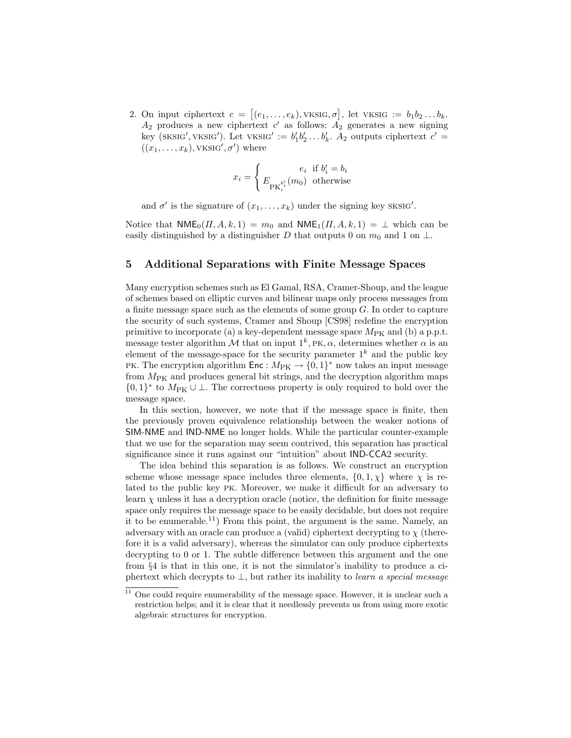2. On input ciphertext  $c = [(e_1, \ldots, e_k), \text{VKSIG}, \sigma]$ , let VKSIG :=  $b_1b_2 \ldots b_k$ .  $A_2$  produces a new ciphertext c' as follows:  $A_2$  generates a new signing key (SKSIG', VKSIG'). Let VKSIG'  $:= b'_1b'_2 \dots b'_k$ .  $A_2$  outputs ciphertext  $c' =$  $((x_1, \ldots, x_k), \text{VKS1G}', \sigma')$  where

$$
x_i = \begin{cases} e_i & \text{if } b'_i = b_i \\ E_{\text{PK}_i^{b'_i}}(m_0) & \text{otherwise} \end{cases}
$$

and  $\sigma'$  is the signature of  $(x_1, \ldots, x_k)$  under the signing key SKSIG'.

Notice that  $NME_0(\Pi, A, k, 1) = m_0$  and  $NME_1(\Pi, A, k, 1) = \perp$  which can be easily distinguished by a distinguisher D that outputs 0 on  $m_0$  and 1 on  $\perp$ .

### 5 Additional Separations with Finite Message Spaces

Many encryption schemes such as El Gamal, RSA, Cramer-Shoup, and the league of schemes based on elliptic curves and bilinear maps only process messages from a finite message space such as the elements of some group  $G$ . In order to capture the security of such systems, Cramer and Shoup [CS98] redefine the encryption primitive to incorporate (a) a key-dependent message space  $M_{\text{PK}}$  and (b) a p.p.t. message tester algorithm  $\mathcal M$  that on input  $1^k$ , PK,  $\alpha$ , determines whether  $\alpha$  is an element of the message-space for the security parameter  $1^k$  and the public key PK. The encryption algorithm  $\textsf{Enc}: M_{\text{PK}} \to \{0,1\}^*$  now takes an input message from  $M_{\text{PK}}$  and produces general bit strings, and the decryption algorithm maps  $\{0,1\}^*$  to  $M_{\text{PK}} \cup \bot$ . The correctness property is only required to hold over the message space.

In this section, however, we note that if the message space is finite, then the previously proven equivalence relationship between the weaker notions of SIM-NME and IND-NME no longer holds. While the particular counter-example that we use for the separation may seem contrived, this separation has practical significance since it runs against our "intuition" about IND-CCA2 security.

The idea behind this separation is as follows. We construct an encryption scheme whose message space includes three elements,  $\{0, 1, \chi\}$  where  $\chi$  is related to the public key pk. Moreover, we make it difficult for an adversary to learn  $\chi$  unless it has a decryption oracle (notice, the definition for finite message space only requires the message space to be easily decidable, but does not require it to be enumerable.<sup>11</sup>) From this point, the argument is the same. Namely, an adversary with an oracle can produce a (valid) ciphertext decrypting to  $\chi$  (therefore it is a valid adversary), whereas the simulator can only produce ciphertexts decrypting to 0 or 1. The subtle difference between this argument and the one from §4 is that in this one, it is not the simulator's inability to produce a ciphertext which decrypts to  $\perp$ , but rather its inability to learn a special message

 $11$  One could require enumerability of the message space. However, it is unclear such a restriction helps; and it is clear that it needlessly prevents us from using more exotic algebraic structures for encryption.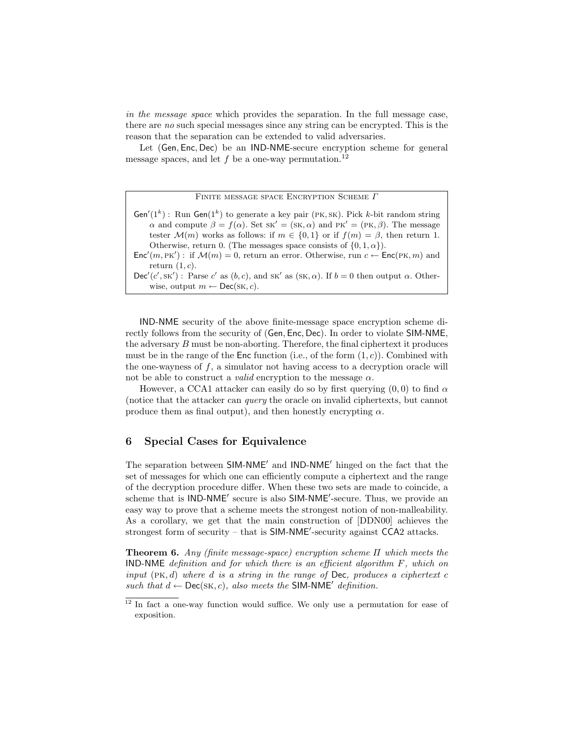in the message space which provides the separation. In the full message case, there are no such special messages since any string can be encrypted. This is the reason that the separation can be extended to valid adversaries.

Let (Gen, Enc, Dec) be an IND-NME-secure encryption scheme for general message spaces, and let  $f$  be a one-way permutation.<sup>12</sup>

Finite message space Encryption Scheme Γ

Gen'(1<sup>k</sup>): Run Gen(1<sup>k</sup>) to generate a key pair (PK, SK). Pick k-bit random string α and compute  $β = f(α)$ . Set sk' = (sk, α) and Pk' = (Pk, β). The message tester  $\mathcal{M}(m)$  works as follows: if  $m \in \{0,1\}$  or if  $f(m) = \beta$ , then return 1. Otherwise, return 0. (The messages space consists of  $\{0, 1, \alpha\}$ ).  $Enc'(m, PK')$ : if  $\mathcal{M}(m) = 0$ , return an error. Otherwise, run  $c \leftarrow Enc(\text{PK}, m)$  and

return  $(1, c)$ .  $\mathsf{Dec}'(c', \mathsf{sk}')$ : Parse c' as  $(b, c)$ , and  $\mathsf{sk}'$  as  $(\mathsf{sk}, \alpha)$ . If  $b = 0$  then output  $\alpha$ . Otherwise, output  $m \leftarrow \mathsf{Dec}(\mathsf{SK}, c)$ .

IND-NME security of the above finite-message space encryption scheme directly follows from the security of (Gen, Enc, Dec). In order to violate SIM-NME, the adversary  $B$  must be non-aborting. Therefore, the final ciphertext it produces must be in the range of the Enc function (i.e., of the form  $(1, c)$ ). Combined with the one-wayness of  $f$ , a simulator not having access to a decryption oracle will not be able to construct a *valid* encryption to the message  $\alpha$ .

However, a CCA1 attacker can easily do so by first querying  $(0,0)$  to find  $\alpha$ (notice that the attacker can query the oracle on invalid ciphertexts, but cannot produce them as final output), and then honestly encrypting  $\alpha$ .

### 6 Special Cases for Equivalence

The separation between SIM-NME<sup>'</sup> and IND-NME<sup>'</sup> hinged on the fact that the set of messages for which one can efficiently compute a ciphertext and the range of the decryption procedure differ. When these two sets are made to coincide, a scheme that is IND-NME' secure is also SIM-NME'-secure. Thus, we provide an easy way to prove that a scheme meets the strongest notion of non-malleability. As a corollary, we get that the main construction of [DDN00] achieves the strongest form of security – that is  $SIM-NME'$ -security against  $CCA2$  attacks.

**Theorem 6.** Any (finite message-space) encryption scheme  $\Pi$  which meets the IND-NME definition and for which there is an efficient algorithm  $F$ , which on input  $(PK, d)$  where d is a string in the range of Dec, produces a ciphertext c such that  $d \leftarrow \mathsf{Dec}(\mathsf{SK}, c)$ , also meets the **SIM-NME**<sup> $\prime$ </sup> definition.

<sup>&</sup>lt;sup>12</sup> In fact a one-way function would suffice. We only use a permutation for ease of exposition.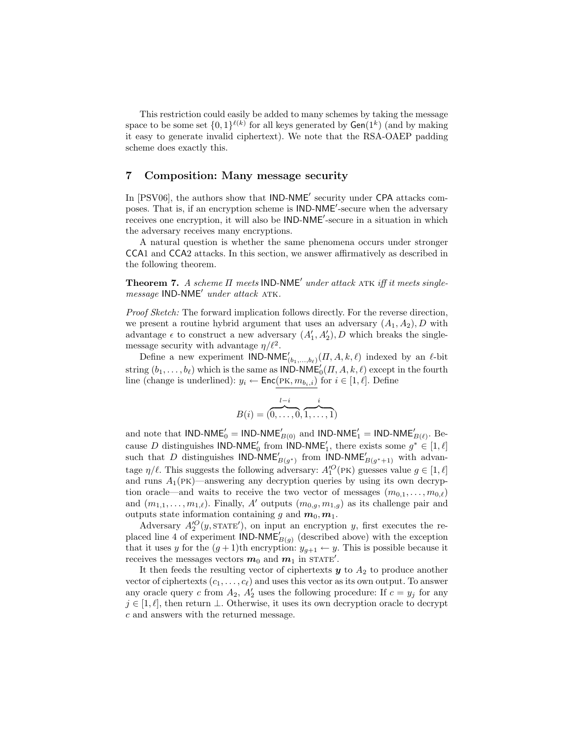This restriction could easily be added to many schemes by taking the message space to be some set  $\{0,1\}^{\ell(k)}$  for all keys generated by  $\mathsf{Gen}(1^k)$  (and by making it easy to generate invalid ciphertext). We note that the RSA-OAEP padding scheme does exactly this.

## 7 Composition: Many message security

In [PSV06], the authors show that IND-NME' security under CPA attacks composes. That is, if an encryption scheme is IND-NME<sup>'</sup>-secure when the adversary receives one encryption, it will also be IND-NME'-secure in a situation in which the adversary receives many encryptions.

A natural question is whether the same phenomena occurs under stronger CCA1 and CCA2 attacks. In this section, we answer affirmatively as described in the following theorem.

**Theorem 7.** A scheme  $\Pi$  meets  $\mathsf{IND}\text{-}\mathsf{NME}'$  under attack ATK iff it meets singlemessage IND-NME<sup>0</sup> under attack atk.

Proof Sketch: The forward implication follows directly. For the reverse direction, we present a routine hybrid argument that uses an adversary  $(A_1, A_2), D$  with advantage  $\epsilon$  to construct a new adversary  $(A'_1, A'_2)$ , D which breaks the singlemessage security with advantage  $\eta/\ell^2$ .

Define a new experiment  $\mathsf{IND-NME}'_{(b_1,...,b_\ell)}(H, A, k, \ell)$  indexed by an  $\ell$ -bit string  $(b_1, \ldots, b_\ell)$  which is the same as  $\mathsf{IND-NME}_0'(H, A, k, \ell)$  except in the fourth line (change is underlined):  $y_i \leftarrow \text{Enc}(\text{PK}, m_{b_i,i})$  for  $i \in [1, \ell]$ . Define

$$
B(i) = (\overbrace{0, \ldots, 0}^{l-i}, \overbrace{1, \ldots, 1}^{i})
$$

and note that IND-NME'<sub>0</sub> = IND-NME'<sub>B(0)</sub> and IND-NME'<sub>1</sub> = IND-NME'<sub>B( $\ell$ )</sub>. Because D distinguishes IND-NME<sub>0</sub> from IND-NME<sub>1</sub>, there exists some  $g^* \in [1, \ell]$ such that D distinguishes IND-NME<sub>B(g<sup>\*</sup>)</sub> from IND-NME<sub>B(g<sup>\*</sup>+1)</sub> with advantage  $\eta/\ell$ . This suggests the following adversary:  $A_1^{\prime O}(\text{PK})$  guesses value  $g \in [1, \ell]$ and runs  $A_1$ (PK)—answering any decryption queries by using its own decryption oracle—and waits to receive the two vector of messages  $(m_{0,1}, \ldots, m_{0,\ell})$ and  $(m_{1,1}, \ldots, m_{1,\ell})$ . Finally, A' outputs  $(m_{0,a}, m_{1,a})$  as its challenge pair and outputs state information containing g and  $m_0, m_1$ .

Adversary  $A_2^{\prime O}(y, \text{STATE}'),$  on input an encryption y, first executes the replaced line 4 of experiment  $\overline{\text{IND-NME}}_{B(g)}$  (described above) with the exception that it uses y for the  $(g + 1)$ th encryption:  $y_{g+1} \leftarrow y$ . This is possible because it receives the messages vectors  $m_0$  and  $m_1$  in STATE'.

It then feeds the resulting vector of ciphertexts  $y$  to  $A_2$  to produce another vector of ciphertexts  $(c_1, \ldots, c_\ell)$  and uses this vector as its own output. To answer any oracle query c from  $A_2$ ,  $A_2'$  uses the following procedure: If  $c = y_j$  for any  $j \in [1, \ell],$  then return  $\bot$ . Otherwise, it uses its own decryption oracle to decrypt c and answers with the returned message.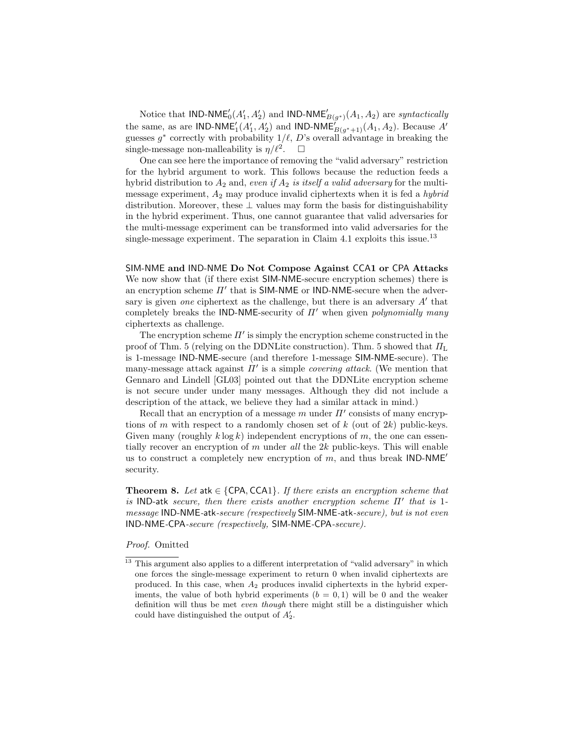Notice that IND-NME<sup>'</sup><sub>0</sub>(A'<sub>1</sub>, A'<sub>2</sub>) and IND-NME'<sub>B(g\*)</sub>(A<sub>1</sub>, A<sub>2</sub>) are *syntactically* the same, as are IND-NME<sup>'</sup><sub>1</sub>(A'<sub>1</sub>, A'<sub>2</sub>) and IND-NME<sup>'</sup><sub>B(g<sup>\*</sup>+1)</sub>(A<sub>1</sub>, A<sub>2</sub>). Because A' guesses  $g^*$  correctly with probability  $1/\ell$ , D's overall advantage in breaking the single-message non-malleability is  $\eta/\ell^2$ .  $\Box$ 

One can see here the importance of removing the "valid adversary" restriction for the hybrid argument to work. This follows because the reduction feeds a hybrid distribution to  $A_2$  and, even if  $A_2$  is itself a valid adversary for the multimessage experiment,  $A_2$  may produce invalid ciphertexts when it is fed a *hybrid* distribution. Moreover, these  $\perp$  values may form the basis for distinguishability in the hybrid experiment. Thus, one cannot guarantee that valid adversaries for the multi-message experiment can be transformed into valid adversaries for the single-message experiment. The separation in Claim 4.1 exploits this issue.<sup>13</sup>

SIM-NME and IND-NME Do Not Compose Against CCA1 or CPA Attacks We now show that (if there exist SIM-NME-secure encryption schemes) there is an encryption scheme  $\Pi'$  that is SIM-NME or IND-NME-secure when the adversary is given one ciphertext as the challenge, but there is an adversary  $A'$  that completely breaks the IND-NME-security of  $\Pi'$  when given *polynomially many* ciphertexts as challenge.

The encryption scheme  $\Pi'$  is simply the encryption scheme constructed in the proof of Thm. 5 (relying on the DDNLite construction). Thm. 5 showed that  $\Pi_L$ is 1-message IND-NME-secure (and therefore 1-message SIM-NME-secure). The many-message attack against  $\Pi'$  is a simple *covering attack*. (We mention that Gennaro and Lindell [GL03] pointed out that the DDNLite encryption scheme is not secure under under many messages. Although they did not include a description of the attack, we believe they had a similar attack in mind.)

Recall that an encryption of a message m under  $\Pi'$  consists of many encryptions of m with respect to a randomly chosen set of  $k$  (out of  $2k$ ) public-keys. Given many (roughly  $k \log k$ ) independent encryptions of m, the one can essentially recover an encryption of m under all the  $2k$  public-keys. This will enable us to construct a completely new encryption of m, and thus break  $IND-NME'$ security.

**Theorem 8.** Let atk  $\in$  {CPA, CCA1}. If there exists an encryption scheme that is IND-atk secure, then there exists another encryption scheme  $\Pi'$  that is 1message IND-NME-atk-secure (respectively SIM-NME-atk-secure), but is not even IND-NME-CPA-secure (respectively, SIM-NME-CPA-secure).

### Proof. Omitted

<sup>&</sup>lt;sup>13</sup> This argument also applies to a different interpretation of "valid adversary" in which one forces the single-message experiment to return 0 when invalid ciphertexts are produced. In this case, when  $A_2$  produces invalid ciphertexts in the hybrid experiments, the value of both hybrid experiments  $(b = 0, 1)$  will be 0 and the weaker definition will thus be met even though there might still be a distinguisher which could have distinguished the output of  $A'_2$ .